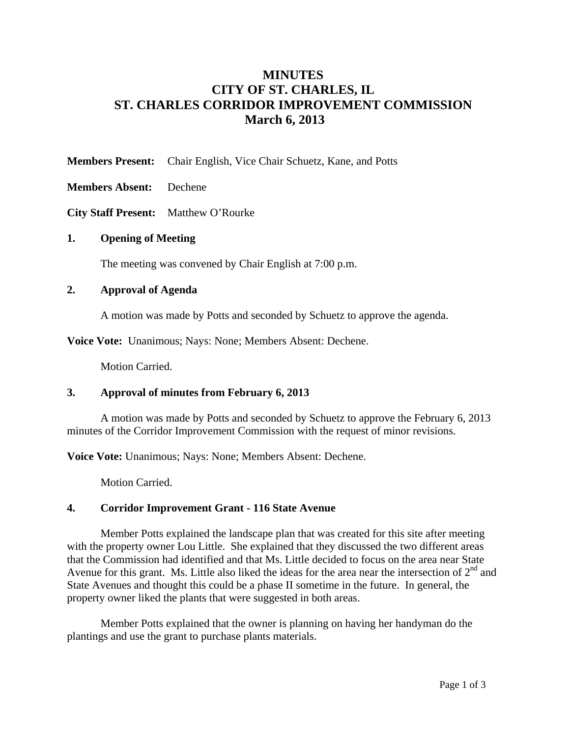# **MINUTES CITY OF ST. CHARLES, IL ST. CHARLES CORRIDOR IMPROVEMENT COMMISSION March 6, 2013**

**Members Present:** Chair English, Vice Chair Schuetz, Kane, and Potts

**Members Absent:** Dechene

**City Staff Present:** Matthew O'Rourke

## **1. Opening of Meeting**

The meeting was convened by Chair English at 7:00 p.m.

## **2. Approval of Agenda**

A motion was made by Potts and seconded by Schuetz to approve the agenda.

**Voice Vote:** Unanimous; Nays: None; Members Absent: Dechene.

Motion Carried.

## **3. Approval of minutes from February 6, 2013**

 A motion was made by Potts and seconded by Schuetz to approve the February 6, 2013 minutes of the Corridor Improvement Commission with the request of minor revisions.

**Voice Vote:** Unanimous; Nays: None; Members Absent: Dechene.

Motion Carried.

## **4. Corridor Improvement Grant - 116 State Avenue**

Member Potts explained the landscape plan that was created for this site after meeting with the property owner Lou Little. She explained that they discussed the two different areas that the Commission had identified and that Ms. Little decided to focus on the area near State Avenue for this grant. Ms. Little also liked the ideas for the area near the intersection of  $2<sup>nd</sup>$  and State Avenues and thought this could be a phase II sometime in the future. In general, the property owner liked the plants that were suggested in both areas.

Member Potts explained that the owner is planning on having her handyman do the plantings and use the grant to purchase plants materials.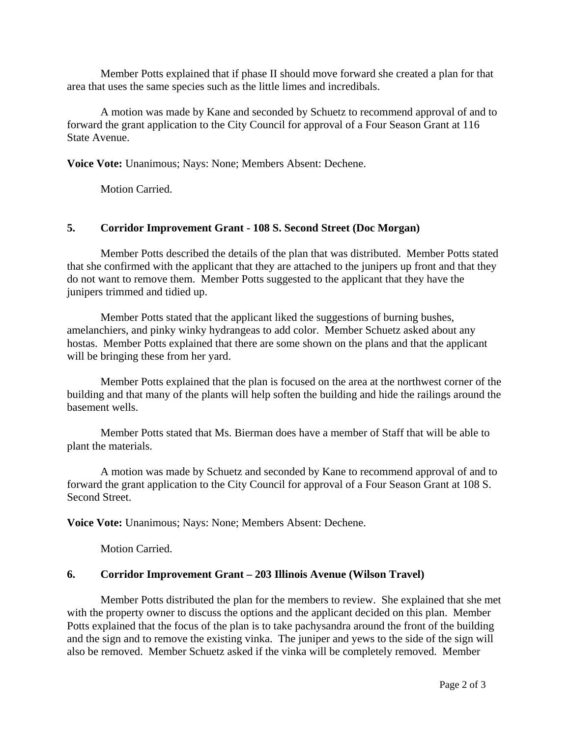Member Potts explained that if phase II should move forward she created a plan for that area that uses the same species such as the little limes and incredibals.

A motion was made by Kane and seconded by Schuetz to recommend approval of and to forward the grant application to the City Council for approval of a Four Season Grant at 116 State Avenue.

**Voice Vote:** Unanimous; Nays: None; Members Absent: Dechene.

Motion Carried.

## **5. Corridor Improvement Grant - 108 S. Second Street (Doc Morgan)**

Member Potts described the details of the plan that was distributed. Member Potts stated that she confirmed with the applicant that they are attached to the junipers up front and that they do not want to remove them. Member Potts suggested to the applicant that they have the junipers trimmed and tidied up.

Member Potts stated that the applicant liked the suggestions of burning bushes, amelanchiers, and pinky winky hydrangeas to add color. Member Schuetz asked about any hostas. Member Potts explained that there are some shown on the plans and that the applicant will be bringing these from her yard.

Member Potts explained that the plan is focused on the area at the northwest corner of the building and that many of the plants will help soften the building and hide the railings around the basement wells.

Member Potts stated that Ms. Bierman does have a member of Staff that will be able to plant the materials.

A motion was made by Schuetz and seconded by Kane to recommend approval of and to forward the grant application to the City Council for approval of a Four Season Grant at 108 S. Second Street.

**Voice Vote:** Unanimous; Nays: None; Members Absent: Dechene.

Motion Carried.

## **6. Corridor Improvement Grant – 203 Illinois Avenue (Wilson Travel)**

Member Potts distributed the plan for the members to review. She explained that she met with the property owner to discuss the options and the applicant decided on this plan. Member Potts explained that the focus of the plan is to take pachysandra around the front of the building and the sign and to remove the existing vinka. The juniper and yews to the side of the sign will also be removed. Member Schuetz asked if the vinka will be completely removed. Member